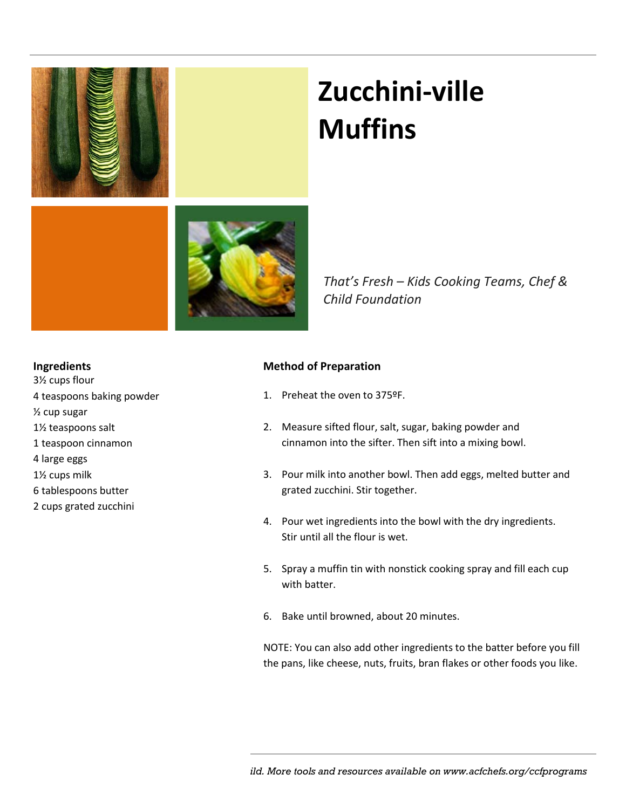

# **Zucchini-ville Muffins**

*That's Fresh – Kids Cooking Teams, Chef & Child Foundation* 

#### **Ingredients**

3½ cups flour 4 teaspoons baking powder ½ cup sugar 1½ teaspoons salt 1 teaspoon cinnamon 4 large eggs 1½ cups milk

- 6 tablespoons butter
- 2 cups grated zucchini

### **Method of Preparation**

- 1. Preheat the oven to 375ºF.
- 2. Measure sifted flour, salt, sugar, baking powder and cinnamon into the sifter. Then sift into a mixing bowl.
- 3. Pour milk into another bowl. Then add eggs, melted butter and grated zucchini. Stir together.
- 4. Pour wet ingredients into the bowl with the dry ingredients. Stir until all the flour is wet.
- 5. Spray a muffin tin with nonstick cooking spray and fill each cup with batter.
- 6. Bake until browned, about 20 minutes.

NOTE: You can also add other ingredients to the batter before you fill the pans, like cheese, nuts, fruits, bran flakes or other foods you like.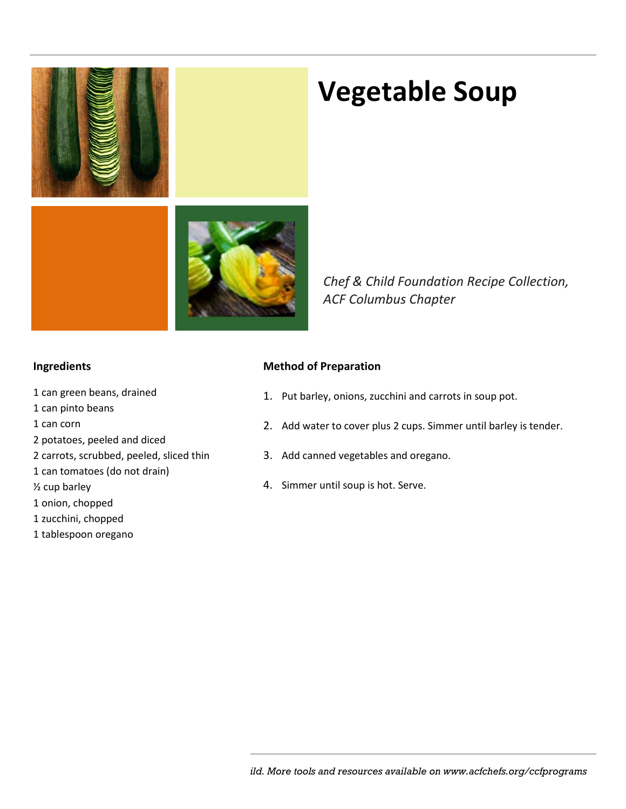

### **Vegetable Soup**

*Chef & Child Foundation Recipe Collection, ACF Columbus Chapter*

### **Ingredients**

- 1 can green beans, drained
- 1 can pinto beans
- 1 can corn
- 2 potatoes, peeled and diced
- 2 carrots, scrubbed, peeled, sliced thin
- 1 can tomatoes (do not drain)
- ½ cup barley
- 1 onion, chopped
- 1 zucchini, chopped
- 1 tablespoon oregano

### **Method of Preparation**

- 1. Put barley, onions, zucchini and carrots in soup pot.
- 2. Add water to cover plus 2 cups. Simmer until barley is tender.
- 3. Add canned vegetables and oregano.
- 4. Simmer until soup is hot. Serve.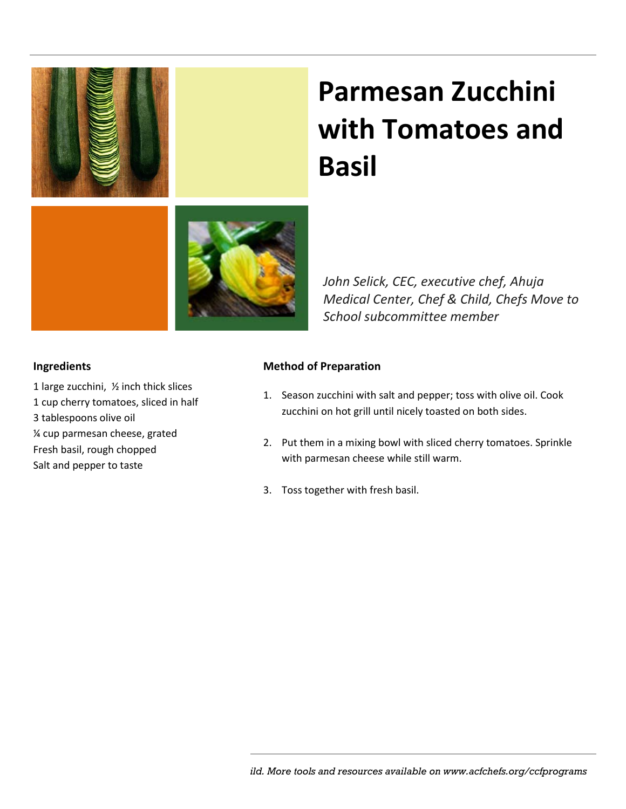

# **Parmesan Zucchini with Tomatoes and Basil**

*John Selick, CEC, executive chef, Ahuja Medical Center, Chef & Child, Chefs Move to School subcommittee member*

### **Ingredients**

- 1 large zucchini, ½ inch thick slices 1 cup cherry tomatoes, sliced in half
- 3 tablespoons olive oil
- ¼ cup parmesan cheese, grated
- Fresh basil, rough chopped
- Salt and pepper to taste

### **Method of Preparation**

- 1. Season zucchini with salt and pepper; toss with olive oil. Cook zucchini on hot grill until nicely toasted on both sides.
- 2. Put them in a mixing bowl with sliced cherry tomatoes. Sprinkle with parmesan cheese while still warm.
- 3. Toss together with fresh basil.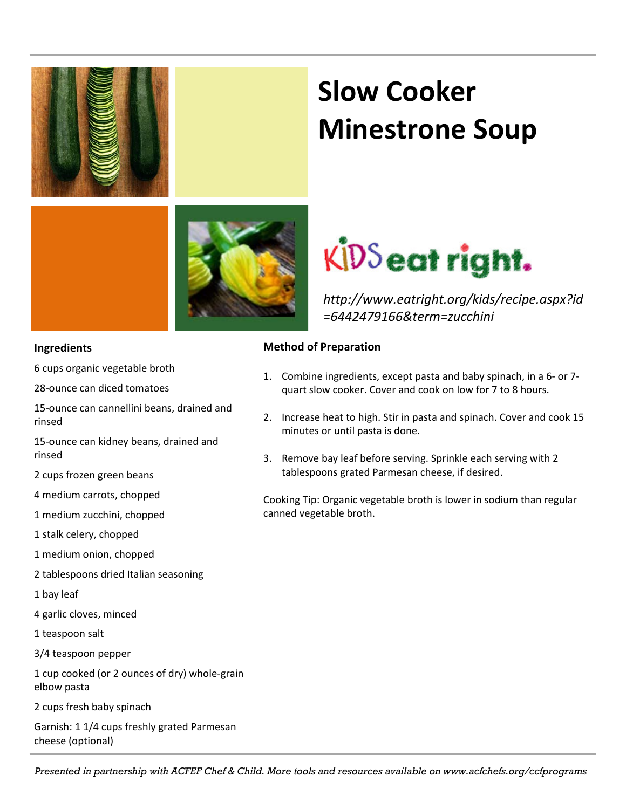

#### **Ingredients**

6 cups organic vegetable broth

28-ounce can diced tomatoes

15-ounce can cannellini beans, drained and rinsed

15-ounce can kidney beans, drained and rinsed

2 cups frozen green beans

4 medium carrots, chopped

1 medium zucchini, chopped

1 stalk celery, chopped

- 1 medium onion, chopped
- 2 tablespoons dried Italian seasoning
- 1 bay leaf
- 4 garlic cloves, minced
- 1 teaspoon salt
- 3/4 teaspoon pepper

1 cup cooked (or 2 ounces of dry) whole-grain elbow pasta

2 cups fresh baby spinach

Garnish: 1 1/4 cups freshly grated Parmesan cheese (optional)

### **Slow Cooker Minestrone Soup**



*http://www.eatright.org/kids/recipe.aspx?id =6442479166&term=zucchini*

### **Method of Preparation**

- 1. Combine ingredients, except pasta and baby spinach, in a 6- or 7 quart slow cooker. Cover and cook on low for 7 to 8 hours.
- 2. Increase heat to high. Stir in pasta and spinach. Cover and cook 15 minutes or until pasta is done.
- 3. Remove bay leaf before serving. Sprinkle each serving with 2 tablespoons grated Parmesan cheese, if desired.

Cooking Tip: Organic vegetable broth is lower in sodium than regular canned vegetable broth.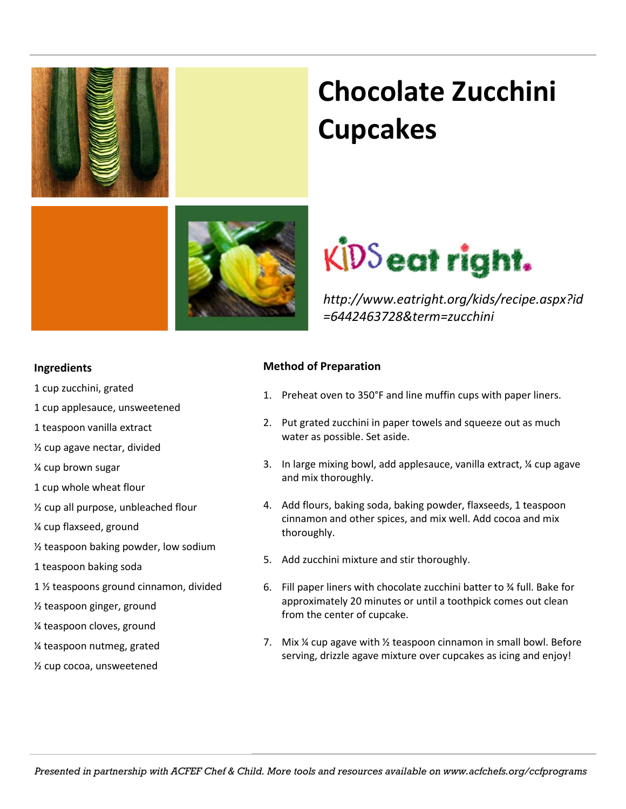

## **Chocolate Zucchini Cupcakes**



*http://www.eatright.org/kids/recipe.aspx?id =6442463728&term=zucchini*

### **Ingredients**

- 1 cup zucchini, grated
- 1 cup applesauce, unsweetened
- 1 teaspoon vanilla extract
- ½ cup agave nectar, divided
- ¼ cup brown sugar
- 1 cup whole wheat flour
- ½ cup all purpose, unbleached flour
- ¼ cup flaxseed, ground
- ½ teaspoon baking powder, low sodium
- 1 teaspoon baking soda
- 1 ½ teaspoons ground cinnamon, divided
- ½ teaspoon ginger, ground
- ¼ teaspoon cloves, ground
- ¼ teaspoon nutmeg, grated
- ½ cup cocoa, unsweetened

### **Method of Preparation**

- 1. Preheat oven to 350°F and line muffin cups with paper liners.
- 2. Put grated zucchini in paper towels and squeeze out as much water as possible. Set aside.
- 3. In large mixing bowl, add applesauce, vanilla extract, ¼ cup agave and mix thoroughly.
- 4. Add flours, baking soda, baking powder, flaxseeds, 1 teaspoon cinnamon and other spices, and mix well. Add cocoa and mix thoroughly.
- 5. Add zucchini mixture and stir thoroughly.
- 6. Fill paper liners with chocolate zucchini batter to ¾ full. Bake for approximately 20 minutes or until a toothpick comes out clean from the center of cupcake.
- 7. Mix ¼ cup agave with ½ teaspoon cinnamon in small bowl. Before serving, drizzle agave mixture over cupcakes as icing and enjoy!